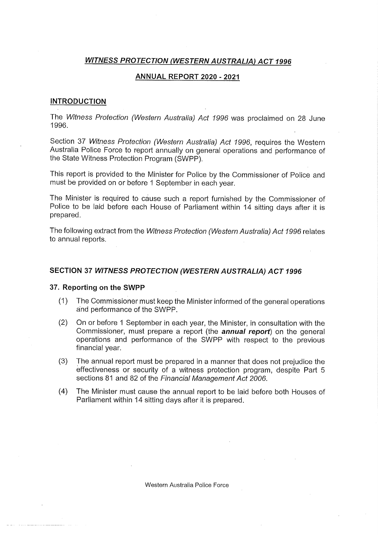# WITNESS PROTECTION (WESTERN AUSTRALIA) ACT 1996

## ANNUAL REPORT 2020 - 2021

### INTRODUCTION

The Witness Protection (Western Australia) Act 1996 was proclaimed on 28 June 1996.

Section 37 Witness Protection (Western Australia) Act 1996, requires the Western Australia Police Force to report annually on general operations and performance of the State Witness Protection Program (SWPP).

This report is provided to the Minister for Police by the Commissioner of Police and must be provided on or before 1 September in each year.

The Minister is required to cause such a report furnished by the Commissioner of Police to be laid before each House of Parliament within 14 sitting days after it is prepared.

The following extract from the Witness Protection (Western Australia) Act 1996 relates to annual reports.

## SECTION 37 WITNESS PROTECTION (WESTERN AUSTRALIA) ACT 1996

#### 37. Reporting on the SWPP

- (1) The Commissioner must keep the Minister informed of the general operations and performance of the SWPP.
- (2) On or before 1 September in each year, the Minister, in consultation with the Commissioner, must prepare a report (the **annual report**) on the general operations and performance of the SWPP with respect to the previous financial year.
- (3) The annual report must be prepared in a manner that does not prejudice the effectiveness or security of a witness protection program, despite Part 5 sections 81 and 82 of the Financial Management Act 2006.
- (4) The Minister must cause the annual report to be laid before both Houses of Parliament within 14 sitting days after it is prepared.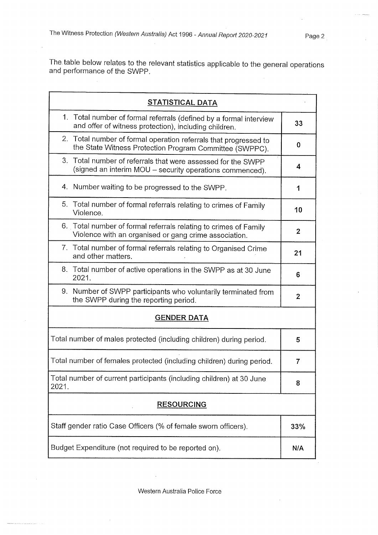The table below relates to the relevant statistics applicable to the general operations and performance of the SWPP.

| <b>STATISTICAL DATA</b>                                                                                                     |                  |
|-----------------------------------------------------------------------------------------------------------------------------|------------------|
| 1. Total number of formal referrals (defined by a formal interview<br>and offer of witness protection), including children. | 33               |
| 2. Total number of formal operation referrals that progressed to<br>the State Witness Protection Program Committee (SWPPC). | $\bf{0}$         |
| 3. Total number of referrals that were assessed for the SWPP<br>(signed an interim MOU - security operations commenced).    | 4                |
| 4. Number waiting to be progressed to the SWPP.                                                                             | 1                |
| 5. Total number of formal referrals relating to crimes of Family<br>Violence.                                               | 10               |
| 6. Total number of formal referrals relating to crimes of Family<br>Violence with an organised or gang crime association.   | $\boldsymbol{2}$ |
| 7. Total number of formal referrals relating to Organised Crime<br>and other matters.                                       | 21               |
| 8. Total number of active operations in the SWPP as at 30 June<br>2021.                                                     | 6                |
| 9. Number of SWPP participants who voluntarily terminated from<br>the SWPP during the reporting period.                     | $\mathbf{2}$     |
| <b>GENDER DATA</b>                                                                                                          |                  |
| Total number of males protected (including children) during period.                                                         | 5                |
| Total number of females protected (including children) during period.                                                       | $\overline{7}$   |
| Total number of current participants (including children) at 30 June<br>2021.                                               | 8                |
| <b>RESOURCING</b>                                                                                                           |                  |
| Staff gender ratio Case Officers (% of female sworn officers).                                                              | 33%              |
| Budget Expenditure (not required to be reported on).                                                                        | N/A              |